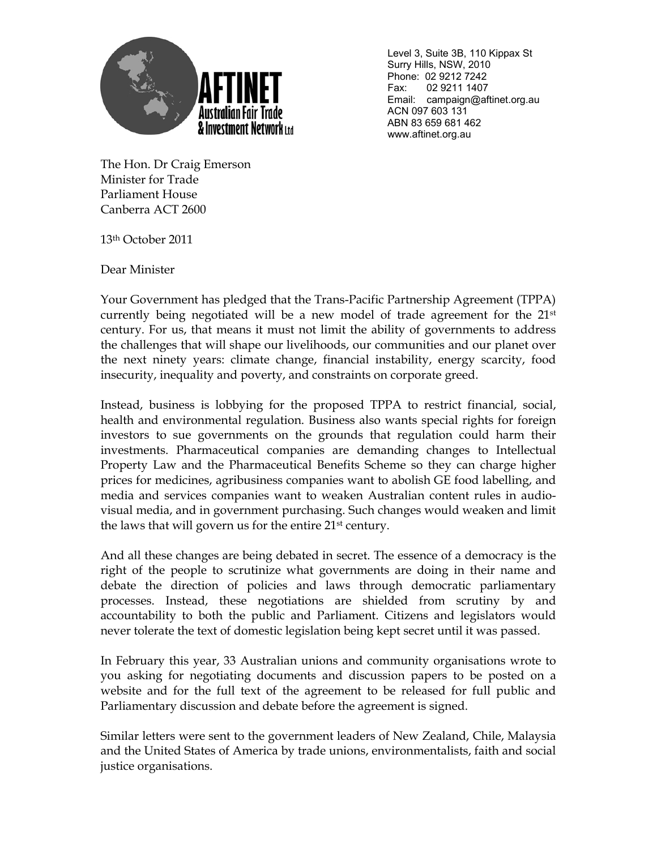

 Level 3, Suite 3B, 110 Kippax St Surry Hills, NSW, 2010 Phone: 02 9212 7242 Fax: 02 9211 1407 Email: campaign@aftinet.org.au ACN 097 603 131 ABN 83 659 681 462 www.aftinet.org.au

The Hon. Dr Craig Emerson Minister for Trade Parliament House Canberra ACT 2600

13th October 2011

Dear Minister

Your Government has pledged that the Trans-Pacific Partnership Agreement (TPPA) currently being negotiated will be a new model of trade agreement for the 21st century. For us, that means it must not limit the ability of governments to address the challenges that will shape our livelihoods, our communities and our planet over the next ninety years: climate change, financial instability, energy scarcity, food insecurity, inequality and poverty, and constraints on corporate greed.

Instead, business is lobbying for the proposed TPPA to restrict financial, social, health and environmental regulation. Business also wants special rights for foreign investors to sue governments on the grounds that regulation could harm their investments. Pharmaceutical companies are demanding changes to Intellectual Property Law and the Pharmaceutical Benefits Scheme so they can charge higher prices for medicines, agribusiness companies want to abolish GE food labelling, and media and services companies want to weaken Australian content rules in audiovisual media, and in government purchasing. Such changes would weaken and limit the laws that will govern us for the entire 21<sup>st</sup> century.

And all these changes are being debated in secret. The essence of a democracy is the right of the people to scrutinize what governments are doing in their name and debate the direction of policies and laws through democratic parliamentary processes. Instead, these negotiations are shielded from scrutiny by and accountability to both the public and Parliament. Citizens and legislators would never tolerate the text of domestic legislation being kept secret until it was passed.

In February this year, 33 Australian unions and community organisations wrote to you asking for negotiating documents and discussion papers to be posted on a website and for the full text of the agreement to be released for full public and Parliamentary discussion and debate before the agreement is signed.

Similar letters were sent to the government leaders of New Zealand, Chile, Malaysia and the United States of America by trade unions, environmentalists, faith and social justice organisations.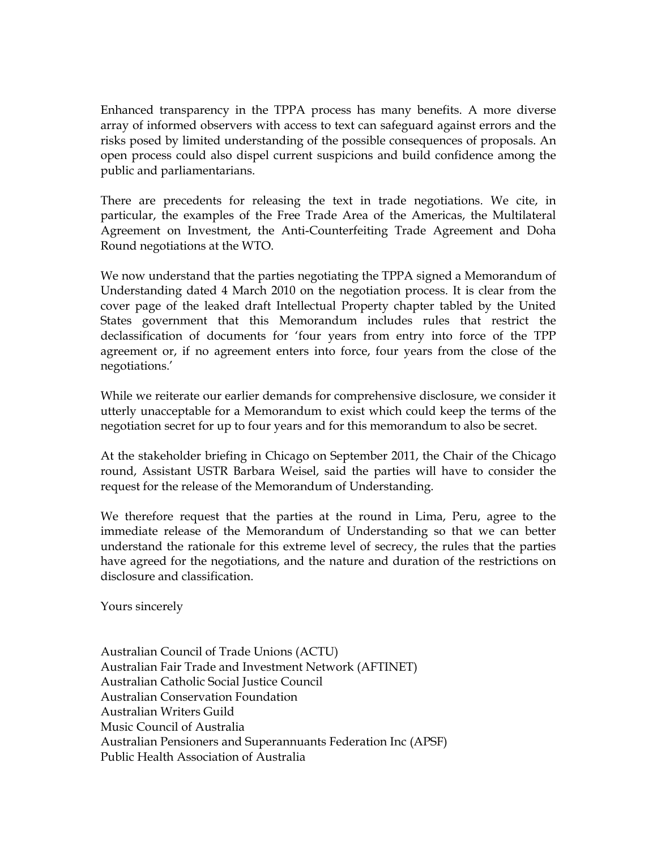Enhanced transparency in the TPPA process has many benefits. A more diverse array of informed observers with access to text can safeguard against errors and the risks posed by limited understanding of the possible consequences of proposals. An open process could also dispel current suspicions and build confidence among the public and parliamentarians.

There are precedents for releasing the text in trade negotiations. We cite, in particular, the examples of the Free Trade Area of the Americas, the Multilateral Agreement on Investment, the Anti-Counterfeiting Trade Agreement and Doha Round negotiations at the WTO.

We now understand that the parties negotiating the TPPA signed a Memorandum of Understanding dated 4 March 2010 on the negotiation process. It is clear from the cover page of the leaked draft Intellectual Property chapter tabled by the United States government that this Memorandum includes rules that restrict the declassification of documents for 'four years from entry into force of the TPP agreement or, if no agreement enters into force, four years from the close of the negotiations.'

While we reiterate our earlier demands for comprehensive disclosure, we consider it utterly unacceptable for a Memorandum to exist which could keep the terms of the negotiation secret for up to four years and for this memorandum to also be secret.

At the stakeholder briefing in Chicago on September 2011, the Chair of the Chicago round, Assistant USTR Barbara Weisel, said the parties will have to consider the request for the release of the Memorandum of Understanding.

We therefore request that the parties at the round in Lima, Peru, agree to the immediate release of the Memorandum of Understanding so that we can better understand the rationale for this extreme level of secrecy, the rules that the parties have agreed for the negotiations, and the nature and duration of the restrictions on disclosure and classification.

Yours sincerely

Australian Council of Trade Unions (ACTU) Australian Fair Trade and Investment Network (AFTINET) Australian Catholic Social Justice Council Australian Conservation Foundation Australian Writers Guild Music Council of Australia Australian Pensioners and Superannuants Federation Inc (APSF) Public Health Association of Australia